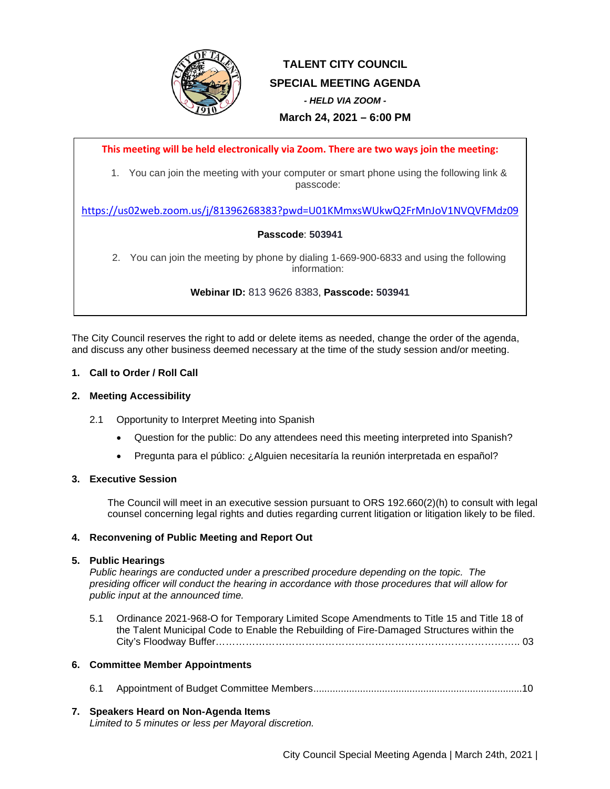

# **TALENT CITY COUNCIL SPECIAL MEETING AGENDA** *- HELD VIA ZOOM -* **March 24, 2021 – 6:00 PM**

**This meeting will be held electronically via Zoom. There are two ways join the meeting:**

1. You can join the meeting with your computer or smart phone using the following link & passcode:

<https://us02web.zoom.us/j/81396268383?pwd=U01KMmxsWUkwQ2FrMnJoV1NVQVFMdz09>

# **Passcode**: **503941**

2. You can join the meeting by phone by dialing 1-669-900-6833 and using the following information:

# **Webinar ID:** 813 9626 8383, **Passcode: 503941**

The City Council reserves the right to add or delete items as needed, change the order of the agenda, and discuss any other business deemed necessary at the time of the study session and/or meeting.

## **1. Call to Order / Roll Call**

## **2. Meeting Accessibility**

- 2.1 Opportunity to Interpret Meeting into Spanish
	- Question for the public: Do any attendees need this meeting interpreted into Spanish?
	- Pregunta para el público: ¿Alguien necesitaría la reunión interpretada en español?

#### **3. Executive Session**

The Council will meet in an executive session pursuant to ORS 192.660(2)(h) to consult with legal counsel concerning legal rights and duties regarding current litigation or litigation likely to be filed.

# **4. Reconvening of Public Meeting and Report Out**

#### **5. Public Hearings**

*Public hearings are conducted under a prescribed procedure depending on the topic. The presiding officer will conduct the hearing in accordance with those procedures that will allow for public input at the announced time.* 

5.1 Ordinance 2021-968-O for Temporary Limited Scope Amendments to Title 15 and Title 18 of the Talent Municipal Code to Enable the Rebuilding of Fire-Damaged Structures within the City's Floodway Buffer……………………………………………………………………………….. 03

#### **6. Committee Member Appointments**

6.1 Appointment of Budget Committee Members............................................................................10

#### **7. Speakers Heard on Non-Agenda Items**

*Limited to 5 minutes or less per Mayoral discretion.*